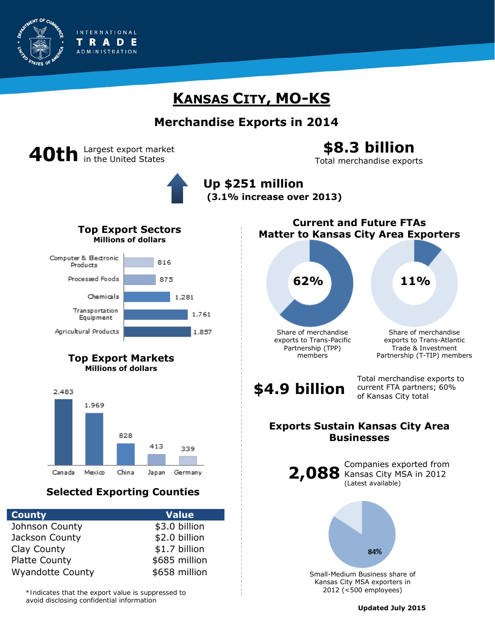

## **KANSAS CITY, MO-KS**

## **Merchandise Exports in 2014**